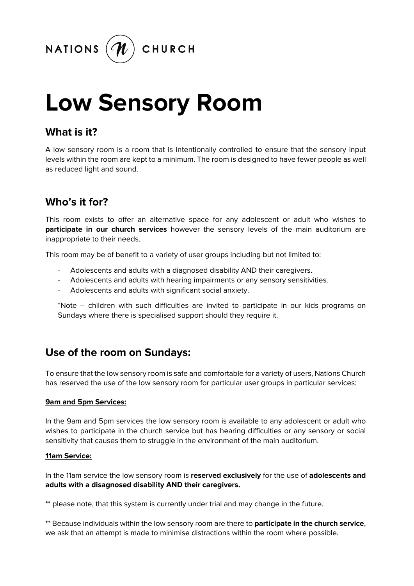

# **Low Sensory Room**

# **What is it?**

A low sensory room is a room that is intentionally controlled to ensure that the sensory input levels within the room are kept to a minimum. The room is designed to have fewer people as well as reduced light and sound.

# **Who's it for?**

This room exists to offer an alternative space for any adolescent or adult who wishes to **participate in our church services** however the sensory levels of the main auditorium are inappropriate to their needs.

This room may be of benefit to a variety of user groups including but not limited to:

- Adolescents and adults with a diagnosed disability AND their caregivers.
- Adolescents and adults with hearing impairments or any sensory sensitivities.
- Adolescents and adults with significant social anxiety.

\*Note – children with such difficulties are invited to participate in our kids programs on Sundays where there is specialised support should they require it.

### **Use of the room on Sundays:**

To ensure that the low sensory room is safe and comfortable for a variety of users, Nations Church has reserved the use of the low sensory room for particular user groups in particular services:

#### **9am and 5pm Services:**

In the 9am and 5pm services the low sensory room is available to any adolescent or adult who wishes to participate in the church service but has hearing difficulties or any sensory or social sensitivity that causes them to struggle in the environment of the main auditorium.

#### **11am Service:**

In the 11am service the low sensory room is **reserved exclusively** for the use of **adolescents and adults with a disagnosed disability AND their caregivers.** 

\*\* please note, that this system is currently under trial and may change in the future.

\*\* Because individuals within the low sensory room are there to **participate in the church service**, we ask that an attempt is made to minimise distractions within the room where possible.